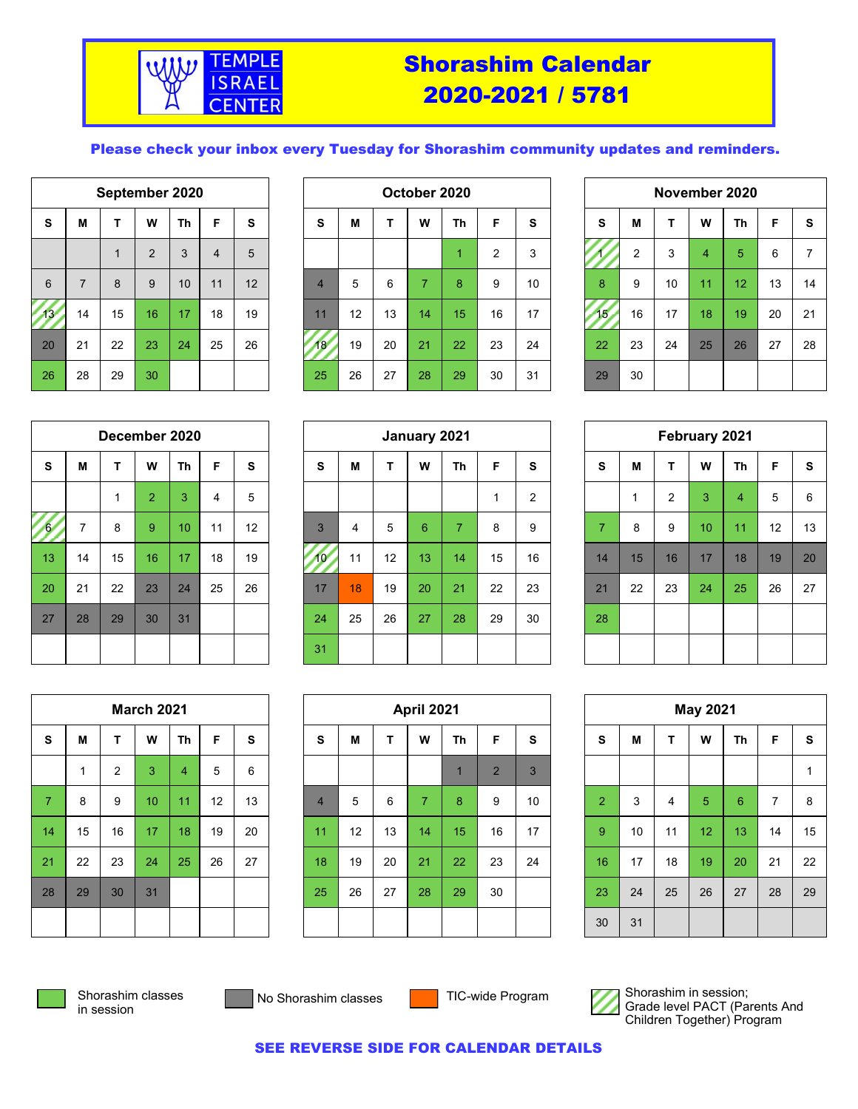

## Shorashim Calendar 2020-2021 / 5781

#### Please check your inbox every Tuesday for Shorashim community updates and reminders.

|                 | September 2020 |              |                |    |                |    |  |  |  |  |  |  |
|-----------------|----------------|--------------|----------------|----|----------------|----|--|--|--|--|--|--|
| S               | M              | T            | W              | Th | F              | S  |  |  |  |  |  |  |
|                 |                | $\mathbf{1}$ | $\overline{2}$ | 3  | $\overline{4}$ | 5  |  |  |  |  |  |  |
| $6\phantom{1}6$ | $\overline{7}$ | 8            | 9              | 10 | 11             | 12 |  |  |  |  |  |  |
| 13              | 14             | 15           | 16             | 17 | 18             | 19 |  |  |  |  |  |  |
| 20              | 21             | 22           | 23             | 24 | 25             | 26 |  |  |  |  |  |  |
| 26              | 28             | 29           | 30             |    |                |    |  |  |  |  |  |  |

|                 | September 2020 |    |                | October 2020 |    |    |                |                                    |    |    | November 2020 |    |    |     |    |             |    |    |    |                |
|-----------------|----------------|----|----------------|--------------|----|----|----------------|------------------------------------|----|----|---------------|----|----|-----|----|-------------|----|----|----|----------------|
| s               | M              | Ŧ  | W              | Th           | F  | s  | S              | W<br><b>Th</b><br>÷<br>F<br>M<br>s |    |    |               |    |    | S   | M  |             | W  | Th | F  | S              |
|                 |                |    | $\overline{2}$ | 3            | 4  | 5  |                |                                    |    |    |               | ◠  | 3  |     | 2  | $\sim$<br>3 | 4  | 5  | 6  | $\overline{7}$ |
| 6               |                | 8  | 9              | 10           | 11 | 12 | $\overline{4}$ | 5                                  | 6  |    | 8             | 9  | 10 | 8   | 9  | 10          | 11 | 12 | 13 | 14             |
| 13 <sup>2</sup> | 14             | 15 | 16             | 17           | 18 | 19 | 11             | 12                                 | 13 | 14 | 15            | 16 | 17 | 15. | 16 | 17          | 18 | 19 | 20 | 21             |
| 20              | 21             | 22 | 23             | 24           | 25 | 26 | 18             | 19                                 | 20 | 21 | 22            | 23 | 24 | 22  | 23 | 24          | 25 | 26 | 27 | 28             |
| 26              | 28             | 29 | 30             |              |    |    | 25             | 26                                 | 27 | 28 | 29            | 30 | 31 | 29  | 30 |             |    |    |    |                |

| November 2020 |                |                        |                |    |    |    |  |  |  |  |  |  |
|---------------|----------------|------------------------|----------------|----|----|----|--|--|--|--|--|--|
| S             | М              | F<br>W<br>S<br>т<br>Th |                |    |    |    |  |  |  |  |  |  |
|               | $\overline{c}$ | 3                      | $\overline{4}$ | 5  | 6  | 7  |  |  |  |  |  |  |
| 8             | 9              | 10                     | 11             | 12 | 13 | 14 |  |  |  |  |  |  |
| 15            | 16             | 17                     | 18             | 19 | 20 | 21 |  |  |  |  |  |  |
| 22            | 23             | 24                     | 25             | 26 | 27 | 28 |  |  |  |  |  |  |
| 29            | 30             |                        |                |    |    |    |  |  |  |  |  |  |

|                | December 2020  |    |                |           |                |    |  |  |  |  |  |  |
|----------------|----------------|----|----------------|-----------|----------------|----|--|--|--|--|--|--|
| S              | M              | Τ  | W              | <b>Th</b> | F              | S  |  |  |  |  |  |  |
|                |                | 1  | $\overline{2}$ | 3         | $\overline{4}$ | 5  |  |  |  |  |  |  |
| $\overline{6}$ | $\overline{7}$ | 8  | 9              | 10        | 11             | 12 |  |  |  |  |  |  |
| 13             | 14             | 15 | 16             | 17        | 18             | 19 |  |  |  |  |  |  |
| 20             | 21             | 22 | 23             | 24        | 25             | 26 |  |  |  |  |  |  |
| 27             | 28             | 29 | 30             | 31        |                |    |  |  |  |  |  |  |
|                |                |    |                |           |                |    |  |  |  |  |  |  |

|    | December 2020  |                |                |                 |    |    | January 2021 |    |    |    |                |    |    | February 2021  |    |    |    |                |    |    |
|----|----------------|----------------|----------------|-----------------|----|----|--------------|----|----|----|----------------|----|----|----------------|----|----|----|----------------|----|----|
| s  | M              | т              | W              | Th              | F  | S  | S            | M  | Ŧ  | W  | <b>Th</b>      | F  | s  | S              | M  |    | W  | <b>Th</b>      | F  | -S |
|    |                | $\overline{A}$ | $\overline{2}$ | 3               | 4  | 5  |              |    |    |    |                |    | 2  |                | и  | 2  | 3  | $\overline{4}$ | 5  | 6  |
| 6/ | $\overline{ }$ | 8              | 9              | 10 <sup>°</sup> | 11 | 12 | 3            | 4  | 5  | 6  | $\overline{7}$ | 8  | 9  | $\overline{7}$ | 8  | 9  | 10 | 11             | 12 | 13 |
| 13 | 14             | 15             | 16             | 17              | 18 | 19 |              | 11 | 12 | 13 | 14             | 15 | 16 | 14             | 15 | 16 | 17 | 18             | 19 | 20 |
| 20 | 21             | 22             | 23             | 24              | 25 | 26 | 17           | 18 | 19 | 20 | 21             | 22 | 23 | 21             | 22 | 23 | 24 | 25             | 26 | 27 |
| 27 | 28             | 29             | 30             | 31              |    |    | 24           | 25 | 26 | 27 | 28             | 29 | 30 | 28             |    |    |    |                |    |    |
|    |                |                |                |                 |    |    | 31           |    |    |    |                |    |    |                |    |    |    |                |    |    |

| February 2021  |    |                        |    |                |    |       |  |  |  |  |  |  |
|----------------|----|------------------------|----|----------------|----|-------|--|--|--|--|--|--|
| S              | M  | W<br>F<br>S<br>Th<br>T |    |                |    |       |  |  |  |  |  |  |
|                | 1  | $\overline{2}$         | 3  | $\overline{4}$ | 5  | $\,6$ |  |  |  |  |  |  |
| $\overline{7}$ | 8  | 9                      | 10 | 11             | 12 | 13    |  |  |  |  |  |  |
| 14             | 15 | 16                     | 17 | 18             | 19 | 20    |  |  |  |  |  |  |
| 21             | 22 | 23                     | 24 | 25             | 26 | 27    |  |  |  |  |  |  |
| 28             |    |                        |    |                |    |       |  |  |  |  |  |  |
|                |    |                        |    |                |    |       |  |  |  |  |  |  |

|                | <b>March 2021</b> |                |    |                |    |    |  |  |  |  |
|----------------|-------------------|----------------|----|----------------|----|----|--|--|--|--|
| S              | Μ                 | T              | W  | Th             | F  | S  |  |  |  |  |
|                | 1                 | $\overline{2}$ | 3  | $\overline{4}$ | 5  | 6  |  |  |  |  |
| $\overline{7}$ | 8                 | 9              | 10 | 11             | 12 | 13 |  |  |  |  |
| 14             | 15                | 16             | 17 | 18             | 19 | 20 |  |  |  |  |
| 21             | 22                | 23             | 24 | 25             | 26 | 27 |  |  |  |  |
| 28             | 29                | 30             | 31 |                |    |    |  |  |  |  |
|                |                   |                |    |                |    |    |  |  |  |  |

|                | March 2021 |                |    |                |    | April 2021 |                |    |    |                |           | <b>May 2021</b> |    |                |    |    |    |           |                |             |
|----------------|------------|----------------|----|----------------|----|------------|----------------|----|----|----------------|-----------|-----------------|----|----------------|----|----|----|-----------|----------------|-------------|
| s              | М          | т              | W  | <b>Th</b>      | F  | S          | s              | M  | т  | W              | <b>Th</b> | F               | s  | S              | M  |    | W  | <b>Th</b> | F              | <b>S</b>    |
|                |            | $\overline{2}$ | 3  | $\overline{4}$ | 5  | 6          |                |    |    |                |           | $\overline{2}$  | 3  |                |    |    |    |           |                | $\mathbf 1$ |
| $\overline{7}$ | 8          | 9              | 10 | 11             | 12 | 13         | $\overline{4}$ | 5  | 6  | $\overline{z}$ | 8         | 9               | 10 | $\overline{2}$ | 3  | 4  | 5  | 6         | $\overline{7}$ | 8           |
| 14             | 15         | 16             | 17 | 18             | 19 | 20         | 11             | 12 | 13 | 14             | 15        | 16              | 17 | 9              | 10 | 11 | 12 | 13        | 14             | 15          |
| 21             | 22         | 23             | 24 | 25             | 26 | 27         | 18             | 19 | 20 | 21             | 22        | 23              | 24 | 16             | 17 | 18 | 19 | 20        | 21             | 22          |
| 28             | 29         | 30             | 31 |                |    |            | 25             | 26 | 27 | 28             | 29        | 30              |    | 23             | 24 | 25 | 26 | 27        | 28             | 29          |
|                |            |                |    |                |    |            |                |    |    |                |           |                 |    | 30             | 31 |    |    |           |                |             |

| <b>May 2021</b> |    |    |                |                 |                |    |  |  |  |
|-----------------|----|----|----------------|-----------------|----------------|----|--|--|--|
| S               | M  | T  | W              | Th              | F              | S  |  |  |  |
|                 |    |    |                |                 |                | 1  |  |  |  |
| $\overline{a}$  | 3  | 4  | $\overline{5}$ | $6\phantom{1}6$ | $\overline{7}$ | 8  |  |  |  |
| 9               | 10 | 11 | 12             | 13              | 14             | 15 |  |  |  |
| 16              | 17 | 18 | 19             | 20              | 21             | 22 |  |  |  |
| 23              | 24 | 25 | 26             | 27              | 28             | 29 |  |  |  |
| 30              | 31 |    |                |                 |                |    |  |  |  |



Shorashim classes in session

No Shorashim classes

TIC-wide Program



Shorashim in session; Grade level PACT (Parents And Children Together) Program

SEE REVERSE SIDE FOR CALENDAR DETAILS